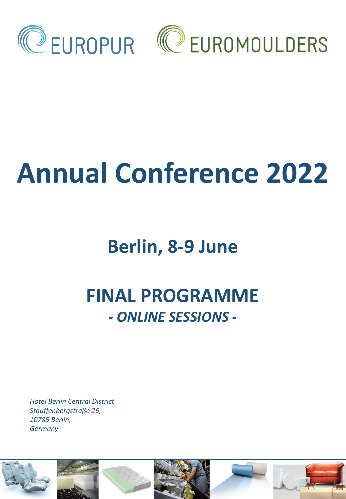

# **Annual Conference 2022**

## **Berlin, 8-9 June**

### **FINAL PROGRAMME**  *- ONLINE SESSIONS -*

*Hotel Berlin Central District Stauffenbergstraße 26, 10785 Berlin, Germany*

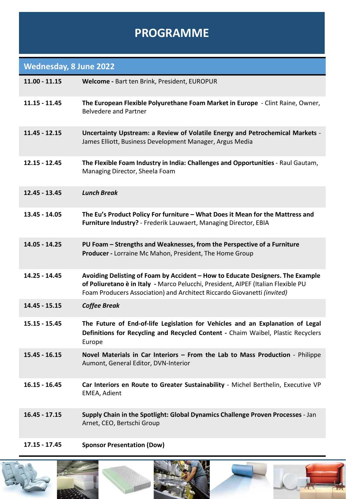#### **PROGRAMME**

#### **Wednesday, 8 June 2022**

| $11.00 - 11.15$ | Welcome - Bart ten Brink, President, EUROPUR                                                                                                                                                                                                   |
|-----------------|------------------------------------------------------------------------------------------------------------------------------------------------------------------------------------------------------------------------------------------------|
| $11.15 - 11.45$ | The European Flexible Polyurethane Foam Market in Europe - Clint Raine, Owner,<br><b>Belvedere and Partner</b>                                                                                                                                 |
| $11.45 - 12.15$ | Uncertainty Upstream: a Review of Volatile Energy and Petrochemical Markets -<br>James Elliott, Business Development Manager, Argus Media                                                                                                      |
| $12.15 - 12.45$ | The Flexible Foam Industry in India: Challenges and Opportunities - Raul Gautam,<br>Managing Director, Sheela Foam                                                                                                                             |
| 12.45 - 13.45   | <b>Lunch Break</b>                                                                                                                                                                                                                             |
| 13.45 - 14.05   | The Eu's Product Policy For furniture - What Does it Mean for the Mattress and<br>Furniture Industry? - Frederik Lauwaert, Managing Director, EBIA                                                                                             |
| 14.05 - 14.25   | PU Foam - Strengths and Weaknesses, from the Perspective of a Furniture<br>Producer - Lorraine Mc Mahon, President, The Home Group                                                                                                             |
| 14.25 - 14.45   | Avoiding Delisting of Foam by Accident - How to Educate Designers. The Example<br>of Poliuretano è in Italy - Marco Pelucchi, President, AIPEF (Italian Flexible PU<br>Foam Producers Association) and Architect Riccardo Giovanetti (invited) |
| 14.45 - 15.15   | <b>Coffee Break</b>                                                                                                                                                                                                                            |
| $15.15 - 15.45$ | The Future of End-of-life Legislation for Vehicles and an Explanation of Legal<br>Definitions for Recycling and Recycled Content - Chaim Waibel, Plastic Recyclers<br>Europe                                                                   |
| $15.45 - 16.15$ | Novel Materials in Car Interiors - From the Lab to Mass Production - Philippe<br>Aumont, General Editor, DVN-Interior                                                                                                                          |
| $16.15 - 16.45$ | Car Interiors en Route to Greater Sustainability - Michel Berthelin, Executive VP<br>EMEA, Adient                                                                                                                                              |
| $16.45 - 17.15$ | Supply Chain in the Spotlight: Global Dynamics Challenge Proven Processes - Jan<br>Arnet, CEO, Bertschi Group                                                                                                                                  |
|                 |                                                                                                                                                                                                                                                |

**17.15 - 17.45 Sponsor Presentation (Dow)**







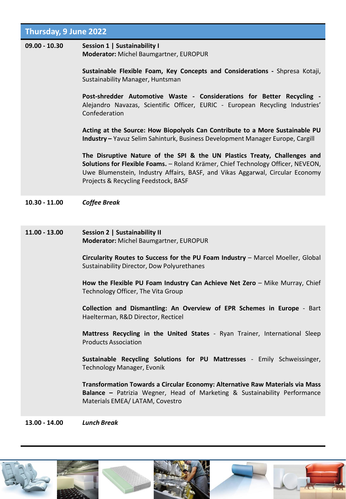| <b>Thursday, 9 June 2022</b> |                                                                                                                                                                                                                                                                                        |  |
|------------------------------|----------------------------------------------------------------------------------------------------------------------------------------------------------------------------------------------------------------------------------------------------------------------------------------|--|
| $09.00 - 10.30$              | Session 1   Sustainability I<br>Moderator: Michel Baumgartner, EUROPUR                                                                                                                                                                                                                 |  |
|                              | Sustainable Flexible Foam, Key Concepts and Considerations - Shpresa Kotaji,<br>Sustainability Manager, Huntsman                                                                                                                                                                       |  |
|                              | Post-shredder Automotive Waste - Considerations for Better Recycling -<br>Alejandro Navazas, Scientific Officer, EURIC - European Recycling Industries'<br>Confederation                                                                                                               |  |
|                              | Acting at the Source: How Biopolyols Can Contribute to a More Sustainable PU<br>Industry - Yavuz Selim Sahinturk, Business Development Manager Europe, Cargill                                                                                                                         |  |
|                              | The Disruptive Nature of the SPI & the UN Plastics Treaty, Challenges and<br>Solutions for Flexible Foams. - Roland Krämer, Chief Technology Officer, NEVEON,<br>Uwe Blumenstein, Industry Affairs, BASF, and Vikas Aggarwal, Circular Economy<br>Projects & Recycling Feedstock, BASF |  |
| $10.30 - 11.00$              | <b>Coffee Break</b>                                                                                                                                                                                                                                                                    |  |
| $11.00 - 13.00$              | Session 2   Sustainability II<br>Moderator: Michel Baumgartner, EUROPUR                                                                                                                                                                                                                |  |
|                              | Circularity Routes to Success for the PU Foam Industry - Marcel Moeller, Global<br>Sustainability Director, Dow Polyurethanes                                                                                                                                                          |  |
|                              | How the Flexible PU Foam Industry Can Achieve Net Zero - Mike Murray, Chief<br>Technology Officer, The Vita Group                                                                                                                                                                      |  |
|                              | Collection and Dismantling: An Overview of EPR Schemes in Europe - Bart<br>Haelterman, R&D Director, Recticel                                                                                                                                                                          |  |
|                              | Mattress Recycling in the United States - Ryan Trainer, International Sleep<br><b>Products Association</b>                                                                                                                                                                             |  |
|                              | Sustainable Recycling Solutions for PU Mattresses - Emily Schweissinger,<br>Technology Manager, Evonik                                                                                                                                                                                 |  |
|                              | Transformation Towards a Circular Economy: Alternative Raw Materials via Mass<br>Balance - Patrizia Wegner, Head of Marketing & Sustainability Performance<br>Materials EMEA/ LATAM, Covestro                                                                                          |  |
| 13.00 - 14.00                | <b>Lunch Break</b>                                                                                                                                                                                                                                                                     |  |